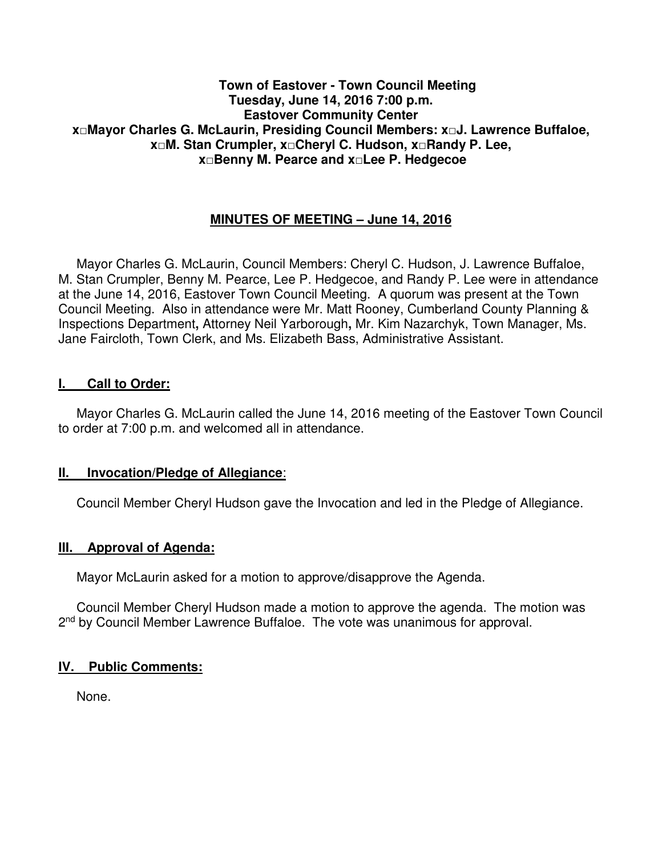#### **Town of Eastover - Town Council Meeting Tuesday, June 14, 2016 7:00 p.m. Eastover Community Center x□Mayor Charles G. McLaurin, Presiding Council Members: x□J. Lawrence Buffaloe, x□M. Stan Crumpler, x□Cheryl C. Hudson, x□Randy P. Lee, x□Benny M. Pearce and x□Lee P. Hedgecoe**

# **MINUTES OF MEETING – June 14, 2016**

 Mayor Charles G. McLaurin, Council Members: Cheryl C. Hudson, J. Lawrence Buffaloe, M. Stan Crumpler, Benny M. Pearce, Lee P. Hedgecoe, and Randy P. Lee were in attendance at the June 14, 2016, Eastover Town Council Meeting. A quorum was present at the Town Council Meeting. Also in attendance were Mr. Matt Rooney, Cumberland County Planning & Inspections Department**,** Attorney Neil Yarborough**,** Mr. Kim Nazarchyk, Town Manager, Ms. Jane Faircloth, Town Clerk, and Ms. Elizabeth Bass, Administrative Assistant.

#### **I. Call to Order:**

 Mayor Charles G. McLaurin called the June 14, 2016 meeting of the Eastover Town Council to order at 7:00 p.m. and welcomed all in attendance.

#### **II. Invocation/Pledge of Allegiance**:

Council Member Cheryl Hudson gave the Invocation and led in the Pledge of Allegiance.

#### **III. Approval of Agenda:**

Mayor McLaurin asked for a motion to approve/disapprove the Agenda.

 Council Member Cheryl Hudson made a motion to approve the agenda. The motion was 2<sup>nd</sup> by Council Member Lawrence Buffaloe. The vote was unanimous for approval.

#### **IV. Public Comments:**

None.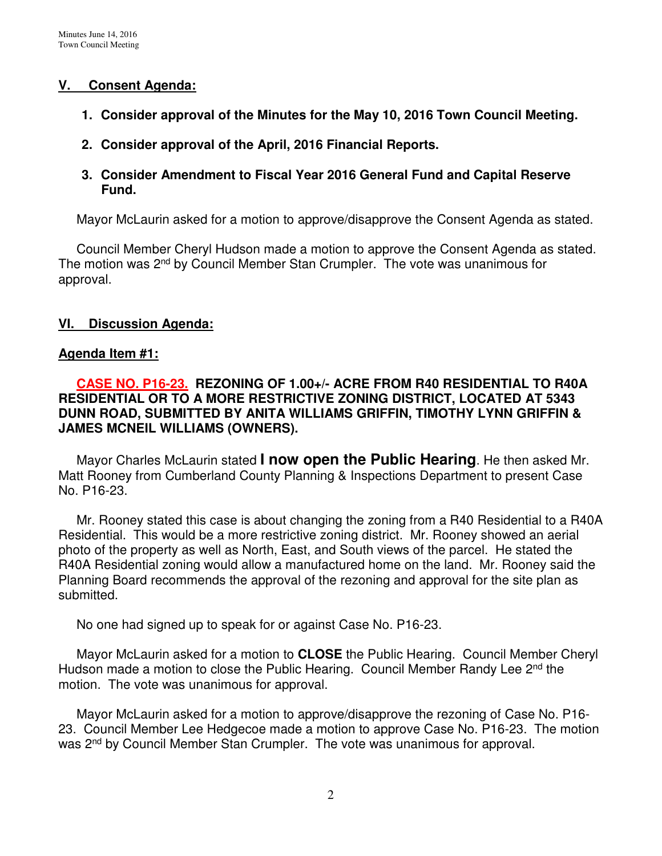### **V. Consent Agenda:**

- **1. Consider approval of the Minutes for the May 10, 2016 Town Council Meeting.**
- **2. Consider approval of the April, 2016 Financial Reports.**
- **3. Consider Amendment to Fiscal Year 2016 General Fund and Capital Reserve Fund.**

Mayor McLaurin asked for a motion to approve/disapprove the Consent Agenda as stated.

 Council Member Cheryl Hudson made a motion to approve the Consent Agenda as stated. The motion was 2<sup>nd</sup> by Council Member Stan Crumpler. The vote was unanimous for approval.

# **VI. Discussion Agenda:**

### **Agenda Item #1:**

 **CASE NO. P16-23. REZONING OF 1.00+/- ACRE FROM R40 RESIDENTIAL TO R40A RESIDENTIAL OR TO A MORE RESTRICTIVE ZONING DISTRICT, LOCATED AT 5343 DUNN ROAD, SUBMITTED BY ANITA WILLIAMS GRIFFIN, TIMOTHY LYNN GRIFFIN & JAMES MCNEIL WILLIAMS (OWNERS).** 

Mayor Charles McLaurin stated **I now open the Public Hearing**. He then asked Mr. Matt Rooney from Cumberland County Planning & Inspections Department to present Case No. P16-23.

Mr. Rooney stated this case is about changing the zoning from a R40 Residential to a R40A Residential. This would be a more restrictive zoning district. Mr. Rooney showed an aerial photo of the property as well as North, East, and South views of the parcel. He stated the R40A Residential zoning would allow a manufactured home on the land. Mr. Rooney said the Planning Board recommends the approval of the rezoning and approval for the site plan as submitted.

No one had signed up to speak for or against Case No. P16-23.

 Mayor McLaurin asked for a motion to **CLOSE** the Public Hearing. Council Member Cheryl Hudson made a motion to close the Public Hearing. Council Member Randy Lee 2<sup>nd</sup> the motion. The vote was unanimous for approval.

 Mayor McLaurin asked for a motion to approve/disapprove the rezoning of Case No. P16- 23. Council Member Lee Hedgecoe made a motion to approve Case No. P16-23. The motion was 2<sup>nd</sup> by Council Member Stan Crumpler. The vote was unanimous for approval.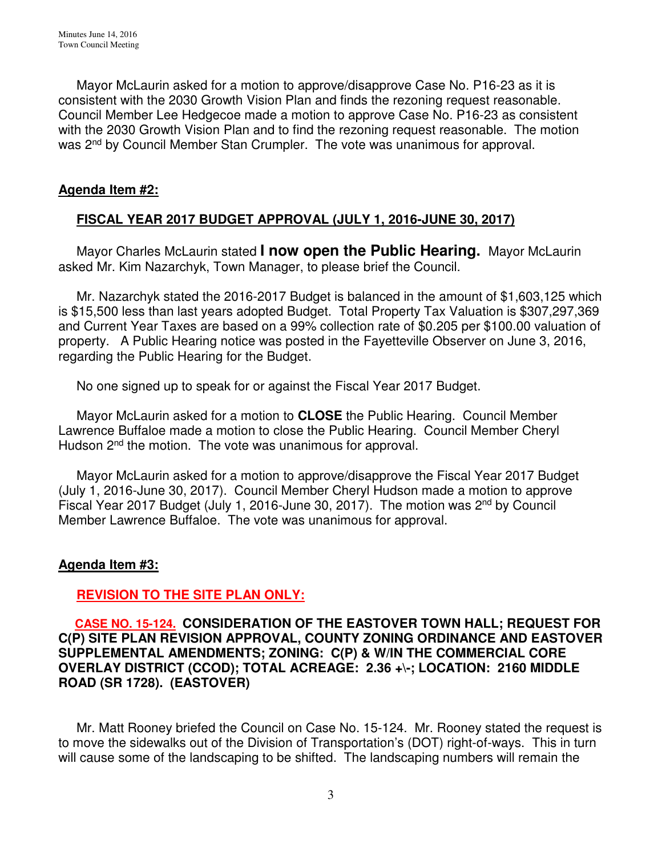Mayor McLaurin asked for a motion to approve/disapprove Case No. P16-23 as it is consistent with the 2030 Growth Vision Plan and finds the rezoning request reasonable. Council Member Lee Hedgecoe made a motion to approve Case No. P16-23 as consistent with the 2030 Growth Vision Plan and to find the rezoning request reasonable. The motion was 2<sup>nd</sup> by Council Member Stan Crumpler. The vote was unanimous for approval.

#### **Agenda Item #2:**

# **FISCAL YEAR 2017 BUDGET APPROVAL (JULY 1, 2016-JUNE 30, 2017)**

 Mayor Charles McLaurin stated **I now open the Public Hearing.** Mayor McLaurin asked Mr. Kim Nazarchyk, Town Manager, to please brief the Council.

 Mr. Nazarchyk stated the 2016-2017 Budget is balanced in the amount of \$1,603,125 which is \$15,500 less than last years adopted Budget. Total Property Tax Valuation is \$307,297,369 and Current Year Taxes are based on a 99% collection rate of \$0.205 per \$100.00 valuation of property. A Public Hearing notice was posted in the Fayetteville Observer on June 3, 2016, regarding the Public Hearing for the Budget.

No one signed up to speak for or against the Fiscal Year 2017 Budget.

 Mayor McLaurin asked for a motion to **CLOSE** the Public Hearing. Council Member Lawrence Buffaloe made a motion to close the Public Hearing. Council Member Cheryl Hudson 2<sup>nd</sup> the motion. The vote was unanimous for approval.

 Mayor McLaurin asked for a motion to approve/disapprove the Fiscal Year 2017 Budget (July 1, 2016-June 30, 2017). Council Member Cheryl Hudson made a motion to approve Fiscal Year 2017 Budget (July 1, 2016-June 30, 2017). The motion was 2nd by Council Member Lawrence Buffaloe. The vote was unanimous for approval.

# **Agenda Item #3:**

# **REVISION TO THE SITE PLAN ONLY:**

### **CASE NO. 15-124. CONSIDERATION OF THE EASTOVER TOWN HALL; REQUEST FOR C(P) SITE PLAN REVISION APPROVAL, COUNTY ZONING ORDINANCE AND EASTOVER SUPPLEMENTAL AMENDMENTS; ZONING: C(P) & W/IN THE COMMERCIAL CORE OVERLAY DISTRICT (CCOD); TOTAL ACREAGE: 2.36 +\-; LOCATION: 2160 MIDDLE ROAD (SR 1728). (EASTOVER)**

Mr. Matt Rooney briefed the Council on Case No. 15-124. Mr. Rooney stated the request is to move the sidewalks out of the Division of Transportation's (DOT) right-of-ways. This in turn will cause some of the landscaping to be shifted. The landscaping numbers will remain the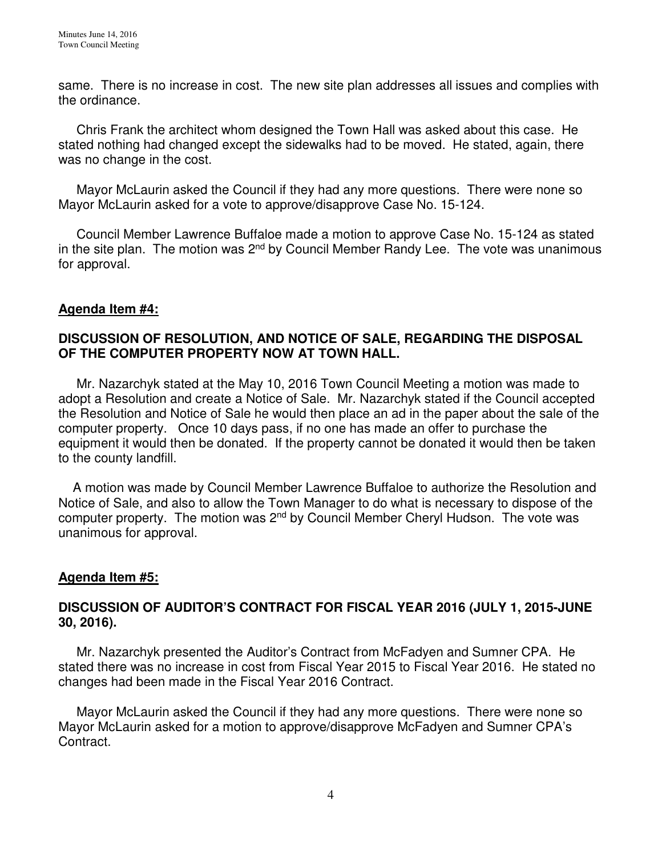same. There is no increase in cost. The new site plan addresses all issues and complies with the ordinance.

 Chris Frank the architect whom designed the Town Hall was asked about this case. He stated nothing had changed except the sidewalks had to be moved. He stated, again, there was no change in the cost.

 Mayor McLaurin asked the Council if they had any more questions. There were none so Mayor McLaurin asked for a vote to approve/disapprove Case No. 15-124.

 Council Member Lawrence Buffaloe made a motion to approve Case No. 15-124 as stated in the site plan. The motion was  $2^{nd}$  by Council Member Randy Lee. The vote was unanimous for approval.

### **Agenda Item #4:**

### **DISCUSSION OF RESOLUTION, AND NOTICE OF SALE, REGARDING THE DISPOSAL OF THE COMPUTER PROPERTY NOW AT TOWN HALL.**

Mr. Nazarchyk stated at the May 10, 2016 Town Council Meeting a motion was made to adopt a Resolution and create a Notice of Sale. Mr. Nazarchyk stated if the Council accepted the Resolution and Notice of Sale he would then place an ad in the paper about the sale of the computer property. Once 10 days pass, if no one has made an offer to purchase the equipment it would then be donated. If the property cannot be donated it would then be taken to the county landfill.

A motion was made by Council Member Lawrence Buffaloe to authorize the Resolution and Notice of Sale, and also to allow the Town Manager to do what is necessary to dispose of the computer property. The motion was  $2^{nd}$  by Council Member Cheryl Hudson. The vote was unanimous for approval.

#### **Agenda Item #5:**

#### **DISCUSSION OF AUDITOR'S CONTRACT FOR FISCAL YEAR 2016 (JULY 1, 2015-JUNE 30, 2016).**

 Mr. Nazarchyk presented the Auditor's Contract from McFadyen and Sumner CPA. He stated there was no increase in cost from Fiscal Year 2015 to Fiscal Year 2016. He stated no changes had been made in the Fiscal Year 2016 Contract.

 Mayor McLaurin asked the Council if they had any more questions. There were none so Mayor McLaurin asked for a motion to approve/disapprove McFadyen and Sumner CPA's Contract.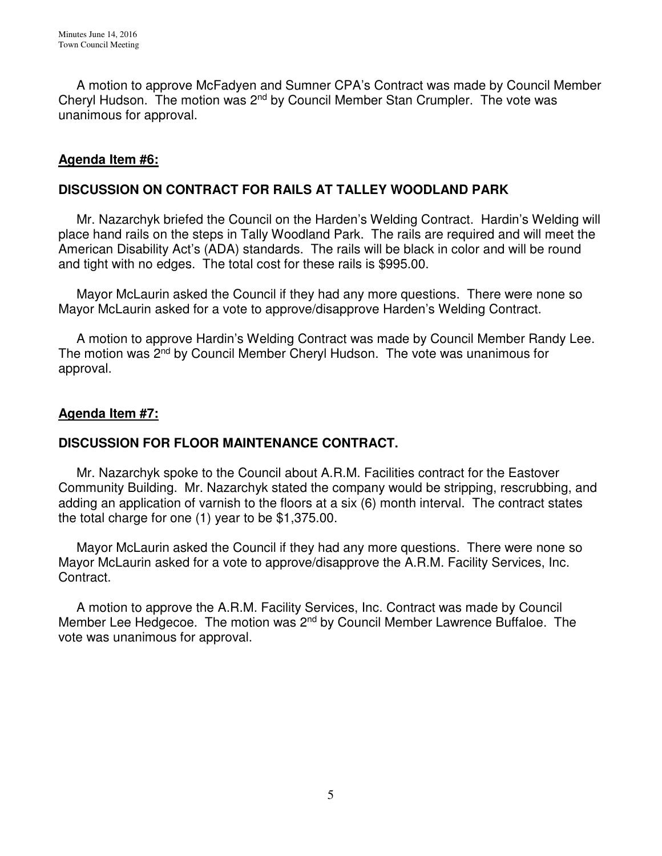A motion to approve McFadyen and Sumner CPA's Contract was made by Council Member Cheryl Hudson. The motion was 2nd by Council Member Stan Crumpler. The vote was unanimous for approval.

# **Agenda Item #6:**

## **DISCUSSION ON CONTRACT FOR RAILS AT TALLEY WOODLAND PARK**

Mr. Nazarchyk briefed the Council on the Harden's Welding Contract. Hardin's Welding will place hand rails on the steps in Tally Woodland Park. The rails are required and will meet the American Disability Act's (ADA) standards. The rails will be black in color and will be round and tight with no edges. The total cost for these rails is \$995.00.

 Mayor McLaurin asked the Council if they had any more questions. There were none so Mayor McLaurin asked for a vote to approve/disapprove Harden's Welding Contract.

 A motion to approve Hardin's Welding Contract was made by Council Member Randy Lee. The motion was 2<sup>nd</sup> by Council Member Cheryl Hudson. The vote was unanimous for approval.

### **Agenda Item #7:**

# **DISCUSSION FOR FLOOR MAINTENANCE CONTRACT.**

Mr. Nazarchyk spoke to the Council about A.R.M. Facilities contract for the Eastover Community Building. Mr. Nazarchyk stated the company would be stripping, rescrubbing, and adding an application of varnish to the floors at a six (6) month interval. The contract states the total charge for one (1) year to be \$1,375.00.

 Mayor McLaurin asked the Council if they had any more questions. There were none so Mayor McLaurin asked for a vote to approve/disapprove the A.R.M. Facility Services, Inc. Contract.

A motion to approve the A.R.M. Facility Services, Inc. Contract was made by Council Member Lee Hedgecoe. The motion was 2nd by Council Member Lawrence Buffaloe. The vote was unanimous for approval.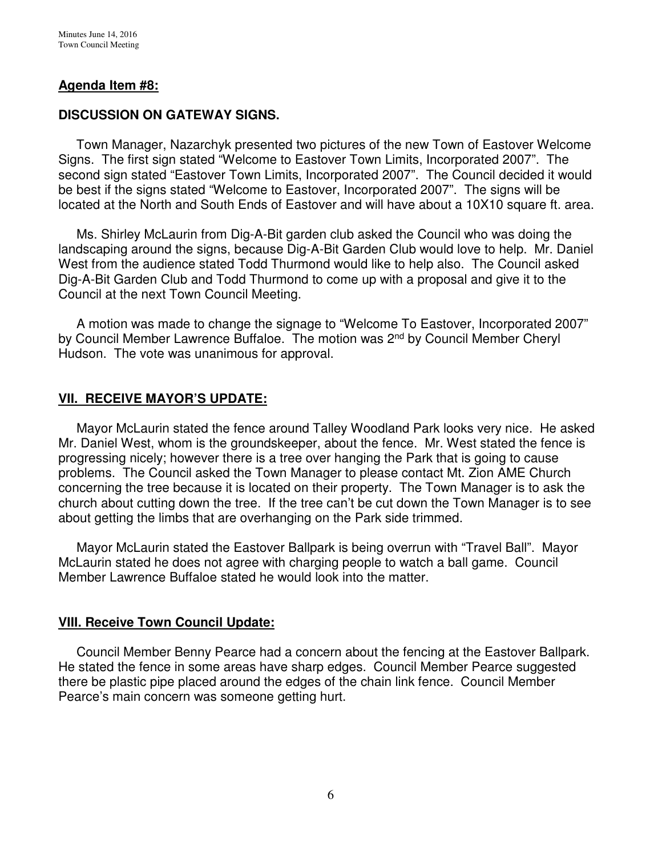### **Agenda Item #8:**

### **DISCUSSION ON GATEWAY SIGNS.**

Town Manager, Nazarchyk presented two pictures of the new Town of Eastover Welcome Signs. The first sign stated "Welcome to Eastover Town Limits, Incorporated 2007". The second sign stated "Eastover Town Limits, Incorporated 2007". The Council decided it would be best if the signs stated "Welcome to Eastover, Incorporated 2007". The signs will be located at the North and South Ends of Eastover and will have about a 10X10 square ft. area.

 Ms. Shirley McLaurin from Dig-A-Bit garden club asked the Council who was doing the landscaping around the signs, because Dig-A-Bit Garden Club would love to help. Mr. Daniel West from the audience stated Todd Thurmond would like to help also. The Council asked Dig-A-Bit Garden Club and Todd Thurmond to come up with a proposal and give it to the Council at the next Town Council Meeting.

 A motion was made to change the signage to "Welcome To Eastover, Incorporated 2007" by Council Member Lawrence Buffaloe. The motion was 2<sup>nd</sup> by Council Member Cheryl Hudson. The vote was unanimous for approval.

#### **VII. RECEIVE MAYOR'S UPDATE:**

 Mayor McLaurin stated the fence around Talley Woodland Park looks very nice. He asked Mr. Daniel West, whom is the groundskeeper, about the fence. Mr. West stated the fence is progressing nicely; however there is a tree over hanging the Park that is going to cause problems. The Council asked the Town Manager to please contact Mt. Zion AME Church concerning the tree because it is located on their property. The Town Manager is to ask the church about cutting down the tree. If the tree can't be cut down the Town Manager is to see about getting the limbs that are overhanging on the Park side trimmed.

 Mayor McLaurin stated the Eastover Ballpark is being overrun with "Travel Ball". Mayor McLaurin stated he does not agree with charging people to watch a ball game. Council Member Lawrence Buffaloe stated he would look into the matter.

#### **VIII. Receive Town Council Update:**

 Council Member Benny Pearce had a concern about the fencing at the Eastover Ballpark. He stated the fence in some areas have sharp edges. Council Member Pearce suggested there be plastic pipe placed around the edges of the chain link fence. Council Member Pearce's main concern was someone getting hurt.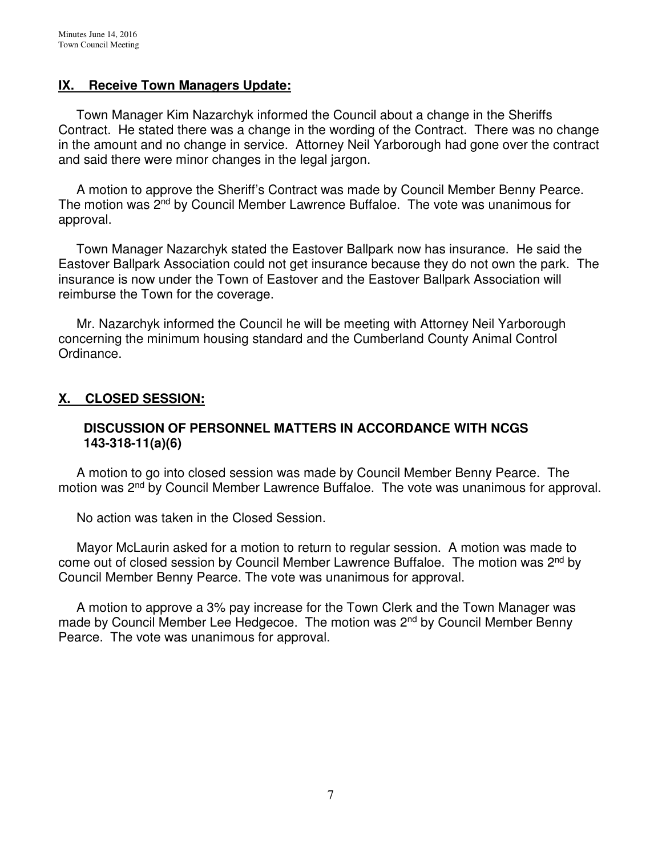#### **IX. Receive Town Managers Update:**

 Town Manager Kim Nazarchyk informed the Council about a change in the Sheriffs Contract. He stated there was a change in the wording of the Contract. There was no change in the amount and no change in service. Attorney Neil Yarborough had gone over the contract and said there were minor changes in the legal jargon.

 A motion to approve the Sheriff's Contract was made by Council Member Benny Pearce. The motion was 2<sup>nd</sup> by Council Member Lawrence Buffaloe. The vote was unanimous for approval.

 Town Manager Nazarchyk stated the Eastover Ballpark now has insurance. He said the Eastover Ballpark Association could not get insurance because they do not own the park. The insurance is now under the Town of Eastover and the Eastover Ballpark Association will reimburse the Town for the coverage.

 Mr. Nazarchyk informed the Council he will be meeting with Attorney Neil Yarborough concerning the minimum housing standard and the Cumberland County Animal Control Ordinance.

# **X. CLOSED SESSION:**

### **DISCUSSION OF PERSONNEL MATTERS IN ACCORDANCE WITH NCGS 143-318-11(a)(6)**

 A motion to go into closed session was made by Council Member Benny Pearce. The motion was 2<sup>nd</sup> by Council Member Lawrence Buffaloe. The vote was unanimous for approval.

No action was taken in the Closed Session.

 Mayor McLaurin asked for a motion to return to regular session. A motion was made to come out of closed session by Council Member Lawrence Buffaloe. The motion was 2<sup>nd</sup> by Council Member Benny Pearce. The vote was unanimous for approval.

 A motion to approve a 3% pay increase for the Town Clerk and the Town Manager was made by Council Member Lee Hedgecoe. The motion was 2<sup>nd</sup> by Council Member Benny Pearce. The vote was unanimous for approval.